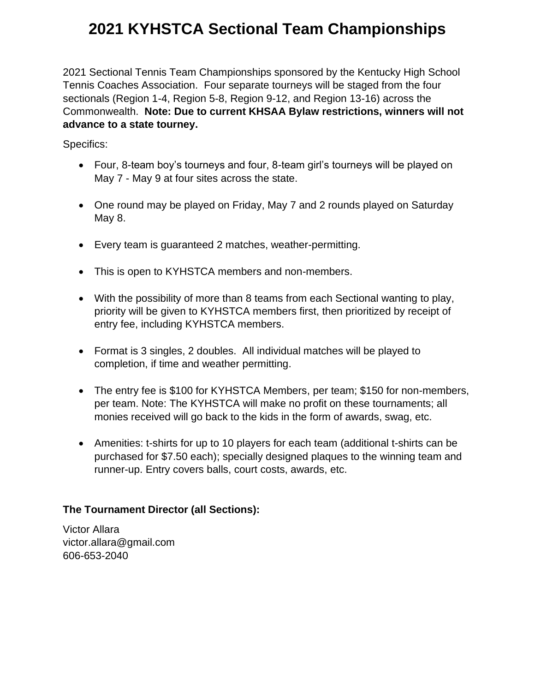# **2021 KYHSTCA Sectional Team Championships**

2021 Sectional Tennis Team Championships sponsored by the Kentucky High School Tennis Coaches Association. Four separate tourneys will be staged from the four sectionals (Region 1-4, Region 5-8, Region 9-12, and Region 13-16) across the Commonwealth. **Note: Due to current KHSAA Bylaw restrictions, winners will not advance to a state tourney.** 

Specifics:

- Four, 8-team boy's tourneys and four, 8-team girl's tourneys will be played on May 7 - May 9 at four sites across the state.
- One round may be played on Friday, May 7 and 2 rounds played on Saturday May 8.
- Every team is guaranteed 2 matches, weather-permitting.
- This is open to KYHSTCA members and non-members.
- With the possibility of more than 8 teams from each Sectional wanting to play, priority will be given to KYHSTCA members first, then prioritized by receipt of entry fee, including KYHSTCA members.
- Format is 3 singles, 2 doubles. All individual matches will be played to completion, if time and weather permitting.
- The entry fee is \$100 for KYHSTCA Members, per team; \$150 for non-members, per team. Note: The KYHSTCA will make no profit on these tournaments; all monies received will go back to the kids in the form of awards, swag, etc.
- Amenities: t-shirts for up to 10 players for each team (additional t-shirts can be purchased for \$7.50 each); specially designed plaques to the winning team and runner-up. Entry covers balls, court costs, awards, etc.

### **The Tournament Director (all Sections):**

Victor Allara victor.allara@gmail.com 606-653-2040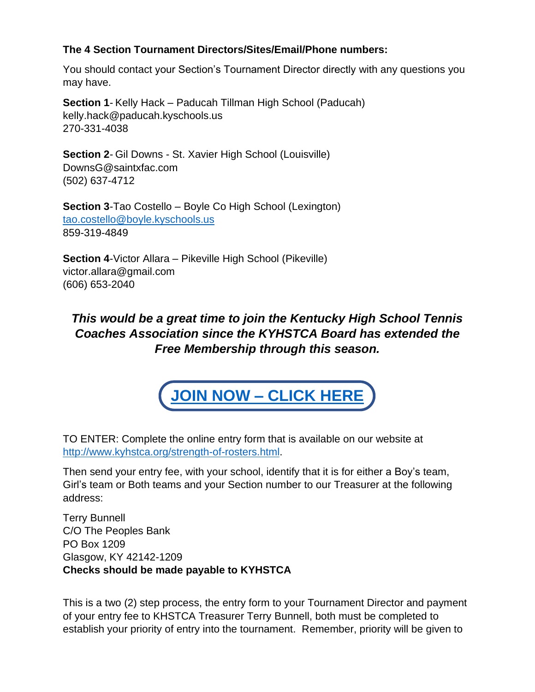### **The 4 Section Tournament Directors/Sites/Email/Phone numbers:**

You should contact your Section's Tournament Director directly with any questions you may have.

**Section 1**- Kelly Hack – Paducah Tillman High School (Paducah) kelly.hack@paducah.kyschools.us 270-331-4038

**Section 2**- Gil Downs - St. Xavier High School (Louisville) DownsG@saintxfac.com (502) 637-4712

**Section 3**-Tao Costello – Boyle Co High School (Lexington) [tao.costello@boyle.kyschools.us](mailto:tao.costello@boyle.kyschools.us) 859-319-4849

**Section 4**-Victor Allara – Pikeville High School (Pikeville) victor.allara@gmail.com (606) 653-2040

## *This would be a great time to join the Kentucky High School Tennis Coaches Association since the KYHSTCA Board has extended the Free Membership through this season.*



TO ENTER: Complete the online entry form that is available on our website at [http://www.kyhstca.org/strength-of-rosters.html.](http://www.kyhstca.org/strength-of-rosters.html)

Then send your entry fee, with your school, identify that it is for either a Boy's team, Girl's team or Both teams and your Section number to our Treasurer at the following address:

Terry Bunnell C/O The Peoples Bank PO Box 1209 Glasgow, KY 42142-1209 **Checks should be made payable to KYHSTCA**

This is a two (2) step process, the entry form to your Tournament Director and payment of your entry fee to KHSTCA Treasurer Terry Bunnell, both must be completed to establish your priority of entry into the tournament. Remember, priority will be given to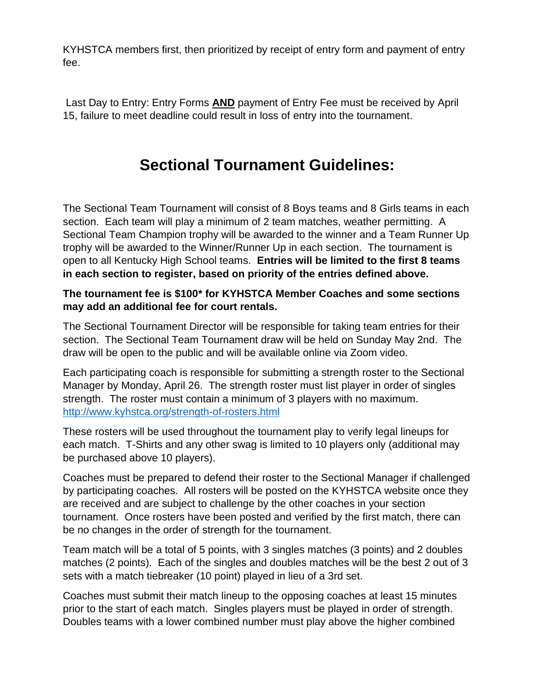KYHSTCA members first, then prioritized by receipt of entry form and payment of entry fee.

Last Day to Entry: Entry Forms **AND** payment of Entry Fee must be received by April 15, failure to meet deadline could result in loss of entry into the tournament.

## **Sectional Tournament Guidelines:**

The Sectional Team Tournament will consist of 8 Boys teams and 8 Girls teams in each section. Each team will play a minimum of 2 team matches, weather permitting. A Sectional Team Champion trophy will be awarded to the winner and a Team Runner Up trophy will be awarded to the Winner/Runner Up in each section. The tournament is open to all Kentucky High School teams. **Entries will be limited to the first 8 teams in each section to register, based on priority of the entries defined above.** 

### **The tournament fee is \$100\* for KYHSTCA Member Coaches and some sections may add an additional fee for court rentals.**

The Sectional Tournament Director will be responsible for taking team entries for their section. The Sectional Team Tournament draw will be held on Sunday May 2nd. The draw will be open to the public and will be available online via Zoom video.

Each participating coach is responsible for submitting a strength roster to the Sectional Manager by Monday, April 26. The strength roster must list player in order of singles strength. The roster must contain a minimum of 3 players with no maximum. <http://www.kyhstca.org/strength-of-rosters.html>

These rosters will be used throughout the tournament play to verify legal lineups for each match. T-Shirts and any other swag is limited to 10 players only (additional may be purchased above 10 players).

Coaches must be prepared to defend their roster to the Sectional Manager if challenged by participating coaches. All rosters will be posted on the KYHSTCA website once they are received and are subject to challenge by the other coaches in your section tournament. Once rosters have been posted and verified by the first match, there can be no changes in the order of strength for the tournament.

Team match will be a total of 5 points, with 3 singles matches (3 points) and 2 doubles matches (2 points). Each of the singles and doubles matches will be the best 2 out of 3 sets with a match tiebreaker (10 point) played in lieu of a 3rd set.

Coaches must submit their match lineup to the opposing coaches at least 15 minutes prior to the start of each match. Singles players must be played in order of strength. Doubles teams with a lower combined number must play above the higher combined